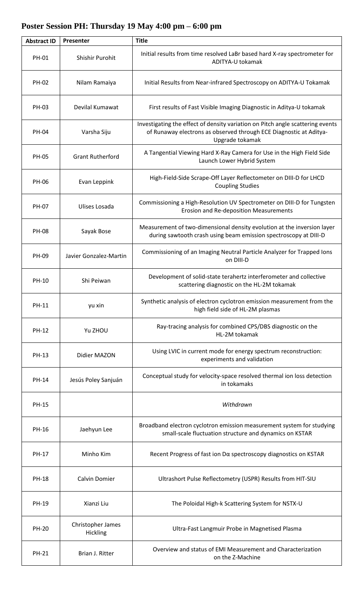## **Abstract ID Presenter Title** PH-01 Shishir Purohit | Initial results from time resolved LaBr based hard X-ray spectrometer for ADITYA-U tokamak PH-02 | Nilam Ramaiya | Initial Results from Near-infrared Spectroscopy on ADITYA-U Tokamak PH-03 Devilal Kumawat | First results of Fast Visible Imaging Diagnostic in Aditya-U tokamak PH-04 Varsha Siju Investigating the effect of density variation on Pitch angle scattering events of Runaway electrons as observed through ECE Diagnostic at Aditya-Upgrade tokamak PH-05 Grant Rutherford **A Tangential Viewing Hard X-Ray Camera for Use in the High Field Side** Launch Lower Hybrid System PH-06 Evan Leppink High-Field-Side Scrape-Off Layer Reflectometer on DIII-D for LHCD Coupling Studies PH-07 Ulises Losada Commissioning a High-Resolution UV Spectrometer on DIII-D for Tungsten Erosion and Re-deposition Measurements PH-08 Sayak Bose Measurement of two-dimensional density evolution at the inversion layer during sawtooth crash using beam emission spectroscopy at DIII-D PH-09 Javier Gonzalez-Martin Commissioning of an Imaging Neutral Particle Analyzer for Trapped Ions on DIII-D PH-10 Shi Peiwan Development of solid-state terahertz interferometer and collective scattering diagnostic on the HL-2M tokamak PH-11 yu xin Synthetic analysis of electron cyclotron emission measurement from the high field side of HL-2M plasmas PH-12 Yu ZHOU Ray-tracing analysis for combined CPS/DBS diagnostic on the HL-2M tokamak PH-13 Didier MAZON Using LVIC in current mode for energy spectrum reconstruction: experiments and validation PH-14 Jesús Poley Sanjuán Conceptual study for velocity-space resolved thermal ion loss detection in tokamaks PH-15 *Withdrawn* PH-16 Jaehyun Lee **Broadband electron cyclotron emission measurement system for studying** small-scale fluctuation structure and dynamics on KSTAR PH-17 Minho Kim Recent Progress of fast ion Dα spectroscopy diagnostics on KSTAR PH-18 | Calvin Domier | Ultrashort Pulse Reflectometry (USPR) Results from HIT-SIU PH-19 | Xianzi Liu | The Poloidal High-k Scattering System for NSTX-U PH-20 Christopher James<br>Hickling Ultra-Fast Langmuir Probe in Magnetised Plasma PH-21 **Brian J. Ritter Primes Acceptance Coverview and status of EMI Measurement and Characterization** on the Z-Machine

## **Poster Session PH: Thursday 19 May 4:00 pm – 6:00 pm**